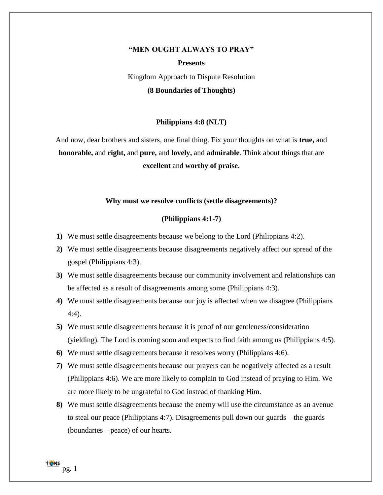#### **"MEN OUGHT ALWAYS TO PRAY"**

**Presents** Kingdom Approach to Dispute Resolution **(8 Boundaries of Thoughts)**

# **Philippians 4:8 (NLT)**

And now, dear brothers and sisters, one final thing. Fix your thoughts on what is **true,** and **honorable,** and **right,** and **pure,** and **lovely,** and **admirable**. Think about things that are **excellent** and **worthy of praise.**

#### **Why must we resolve conflicts (settle disagreements)?**

#### **(Philippians 4:1-7)**

- **1)** We must settle disagreements because we belong to the Lord (Philippians 4:2).
- **2)** We must settle disagreements because disagreements negatively affect our spread of the gospel (Philippians 4:3).
- **3)** We must settle disagreements because our community involvement and relationships can be affected as a result of disagreements among some (Philippians 4:3).
- **4)** We must settle disagreements because our joy is affected when we disagree (Philippians 4:4).
- **5)** We must settle disagreements because it is proof of our gentleness/consideration (yielding). The Lord is coming soon and expects to find faith among us (Philippians 4:5).
- **6)** We must settle disagreements because it resolves worry (Philippians 4:6).
- **7)** We must settle disagreements because our prayers can be negatively affected as a result (Philippians 4:6). We are more likely to complain to God instead of praying to Him. We are more likely to be ungrateful to God instead of thanking Him.
- **8)** We must settle disagreements because the enemy will use the circumstance as an avenue to steal our peace (Philippians 4:7). Disagreements pull down our guards – the guards (boundaries – peace) of our hearts.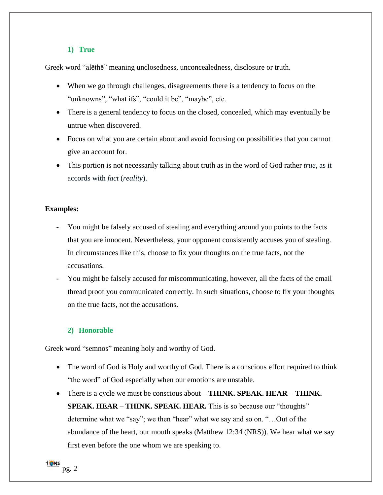### **1) True**

Greek word ["alēthē"](https://biblehub.com/greek/ale_the__227.htm) meaning unclosedness, unconcealedness, disclosure or truth.

- When we go through challenges, disagreements there is a tendency to focus on the "unknowns", "what ifs", "could it be", "maybe", etc.
- There is a general tendency to focus on the closed, concealed, which may eventually be untrue when discovered.
- Focus on what you are certain about and avoid focusing on possibilities that you cannot give an account for.
- This portion is not necessarily talking about truth as in the word of God rather *true*, as it accords with *fact* (*reality*).

# **Examples:**

- You might be falsely accused of stealing and everything around you points to the facts that you are innocent. Nevertheless, your opponent consistently accuses you of stealing. In circumstances like this, choose to fix your thoughts on the true facts, not the accusations.
- You might be falsely accused for miscommunicating, however, all the facts of the email thread proof you communicated correctly. In such situations, choose to fix your thoughts on the true facts, not the accusations.

# **2) Honorable**

Greek word "semnos" meaning holy and worthy of God.

- The word of God is Holy and worthy of God. There is a conscious effort required to think "the word" of God especially when our emotions are unstable.
- There is a cycle we must be conscious about **THINK. SPEAK. HEAR THINK. SPEAK. HEAR** – **THINK. SPEAK. HEAR.** This is so because our "thoughts" determine what we "say"; we then "hear" what we say and so on. "…Out of the abundance of the heart, our mouth speaks (Matthew 12:34 (NRS)). We hear what we say first even before the one whom we are speaking to.

**TOMS** pg. 2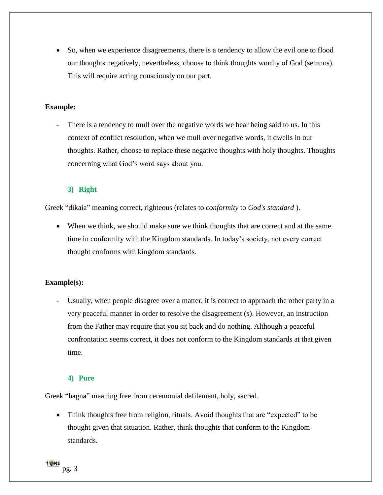• So, when we experience disagreements, there is a tendency to allow the evil one to flood our thoughts negatively, nevertheless, choose to think thoughts worthy of God (semnos). This will require acting consciously on our part.

## **Example:**

There is a tendency to mull over the negative words we hear being said to us. In this context of conflict resolution, when we mull over negative words, it dwells in our thoughts. Rather, choose to replace these negative thoughts with holy thoughts. Thoughts concerning what God's word says about you.

### **3) Right**

Greek ["dikaia"](https://biblehub.com/greek/dikaia_1342.htm) meaning correct, righteous (relates to *conformity* to *God's standard* ).

• When we think, we should make sure we think thoughts that are correct and at the same time in conformity with the Kingdom standards. In today's society, not every correct thought conforms with kingdom standards.

### **Example(s):**

Usually, when people disagree over a matter, it is correct to approach the other party in a very peaceful manner in order to resolve the disagreement (s). However, an instruction from the Father may require that you sit back and do nothing. Although a peaceful confrontation seems correct, it does not conform to the Kingdom standards at that given time.

### **4) Pure**

Greek "hagna" meaning free from ceremonial defilement, holy, sacred.

Think thoughts free from religion, rituals. Avoid thoughts that are "expected" to be thought given that situation. Rather, think thoughts that conform to the Kingdom standards.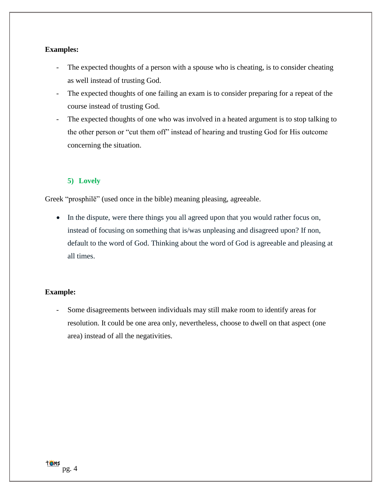### **Examples:**

- The expected thoughts of a person with a spouse who is cheating, is to consider cheating as well instead of trusting God.
- The expected thoughts of one failing an exam is to consider preparing for a repeat of the course instead of trusting God.
- The expected thoughts of one who was involved in a heated argument is to stop talking to the other person or "cut them off" instead of hearing and trusting God for His outcome concerning the situation.

# **5) Lovely**

Greek ["prosphilē"](https://biblehub.com/greek/prosphile__4375.htm) (used once in the bible) meaning pleasing, agreeable.

• In the dispute, were there things you all agreed upon that you would rather focus on, instead of focusing on something that is/was unpleasing and disagreed upon? If non, default to the word of God. Thinking about the word of God is agreeable and pleasing at all times.

### **Example:**

Some disagreements between individuals may still make room to identify areas for resolution. It could be one area only, nevertheless, choose to dwell on that aspect (one area) instead of all the negativities.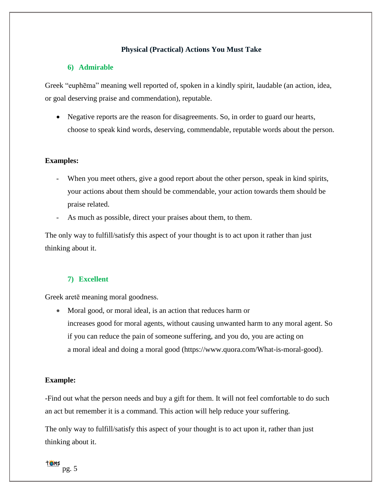# **Physical (Practical) Actions You Must Take**

### **6) Admirable**

Greek ["euphēma"](https://biblehub.com/greek/euphe_ma_2163.htm) meaning well reported of, spoken in a kindly spirit, laudable (an action, idea, or goal deserving praise and commendation), reputable.

• Negative reports are the reason for disagreements. So, in order to guard our hearts, choose to speak kind words, deserving, commendable, reputable words about the person.

### **Examples:**

- When you meet others, give a good report about the other person, speak in kind spirits, your actions about them should be commendable, your action towards them should be praise related.
- As much as possible, direct your praises about them, to them.

The only way to fulfill/satisfy this aspect of your thought is to act upon it rather than just thinking about it.

### **7) Excellent**

Greek [aretē](https://biblehub.com/greek/arete__703.htm) meaning moral goodness.

• Moral good, or moral ideal, is an action that reduces harm or increases good for moral agents, without causing unwanted harm to any moral agent. So if you can reduce the pain of someone suffering, and you do, you are acting on a moral ideal and doing a moral good (https://www.quora.com/What-is-moral-good).

#### **Example:**

-Find out what the person needs and buy a gift for them. It will not feel comfortable to do such an act but remember it is a command. This action will help reduce your suffering.

The only way to fulfill/satisfy this aspect of your thought is to act upon it, rather than just thinking about it.